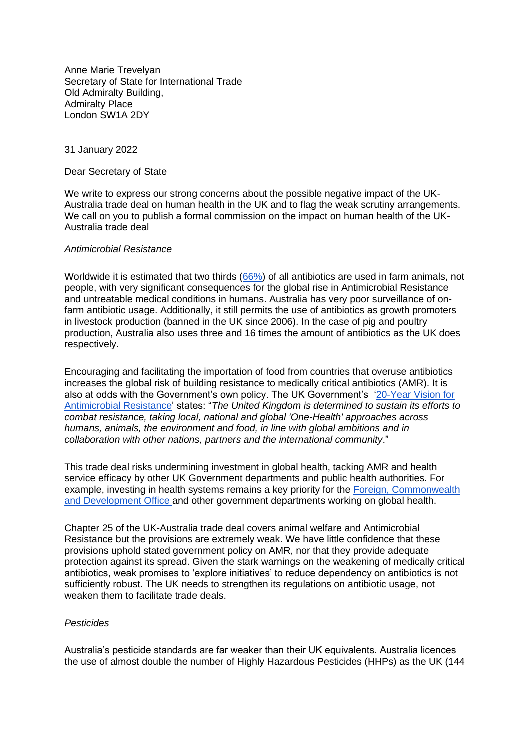Anne Marie Trevelyan Secretary of State for International Trade Old Admiralty Building, Admiralty Place London SW1A 2DY

31 January 2022

Dear Secretary of State

We write to express our strong concerns about the possible negative impact of the UK-Australia trade deal on human health in the UK and to flag the weak scrutiny arrangements. We call on you to publish a formal commission on the impact on human health of the UK-Australia trade deal

#### *Antimicrobial Resistance*

Worldwide it is estimated that two thirds [\(66%\)](https://www.ncbi.nlm.nih.gov/pmc/articles/PMC7766021/pdf/antibiotics-09-00918.pdf) of all antibiotics are used in farm animals, not people, with very significant consequences for the global rise in Antimicrobial Resistance and untreatable medical conditions in humans. Australia has very poor surveillance of onfarm antibiotic usage. Additionally, it still permits the use of antibiotics as growth promoters in livestock production (banned in the UK since 2006). In the case of pig and poultry production, Australia also uses three and 16 times the amount of antibiotics as the UK does respectively.

Encouraging and facilitating the importation of food from countries that overuse antibiotics increases the global risk of building resistance to medically critical antibiotics (AMR). It is also at odds with the Government's own policy. The UK Government's '20-Year Vision for [Antimicrobial Resistance'](https://assets.publishing.service.gov.uk/government/uploads/system/uploads/attachment_data/file/773065/uk-20-year-vision-for-antimicrobial-resistance.pdf) states: "*The United Kingdom is determined to sustain its efforts to combat resistance, taking local, national and global 'One-Health' approaches across humans, animals, the environment and food, in line with global ambitions and in collaboration with other nations, partners and the international community*."

This trade deal risks undermining investment in global health, tacking AMR and health service efficacy by other UK Government departments and public health authorities. For example, investing in health systems remains a key priority for the [Foreign, Commonwealth](https://www.gov.uk/government/publications/health-systems-strengthening-for-global-health-security-and-universal-health-coverage/health-systems-strengthening-for-global-health-security-and-universal-health-coverage-fcdo-position-paper)  [and Development Office a](https://www.gov.uk/government/publications/health-systems-strengthening-for-global-health-security-and-universal-health-coverage/health-systems-strengthening-for-global-health-security-and-universal-health-coverage-fcdo-position-paper)nd other government departments working on global health.

Chapter 25 of the UK-Australia trade deal covers animal welfare and Antimicrobial Resistance but the provisions are extremely weak. We have little confidence that these provisions uphold stated government policy on AMR, nor that they provide adequate protection against its spread. Given the stark warnings on the weakening of medically critical antibiotics, weak promises to 'explore initiatives' to reduce dependency on antibiotics is not sufficiently robust. The UK needs to strengthen its regulations on antibiotic usage, not weaken them to facilitate trade deals.

## *Pesticides*

Australia's pesticide standards are far weaker than their UK equivalents. Australia licences the use of almost double the number of Highly Hazardous Pesticides (HHPs) as the UK (144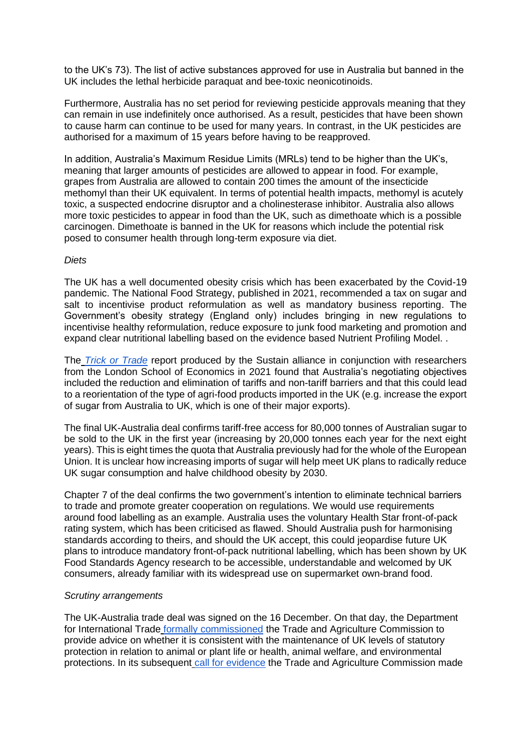to the UK's 73). The list of active substances approved for use in Australia but banned in the UK includes the lethal herbicide paraquat and bee-toxic neonicotinoids.

Furthermore, Australia has no set period for reviewing pesticide approvals meaning that they can remain in use indefinitely once authorised. As a result, pesticides that have been shown to cause harm can continue to be used for many years. In contrast, in the UK pesticides are authorised for a maximum of 15 years before having to be reapproved.

In addition, Australia's Maximum Residue Limits (MRLs) tend to be higher than the UK's, meaning that larger amounts of pesticides are allowed to appear in food. For example, grapes from Australia are allowed to contain 200 times the amount of the insecticide methomyl than their UK equivalent. In terms of potential health impacts, methomyl is acutely toxic, a suspected endocrine disruptor and a cholinesterase inhibitor. Australia also allows more toxic pesticides to appear in food than the UK, such as dimethoate which is a possible carcinogen. Dimethoate is banned in the UK for reasons which include the potential risk posed to consumer health through long-term exposure via diet.

## *Diets*

The UK has a well documented obesity crisis which has been exacerbated by the Covid-19 pandemic. The National Food Strategy, published in 2021, recommended a tax on sugar and salt to incentivise product reformulation as well as mandatory business reporting. The Government's obesity strategy (England only) includes bringing in new regulations to incentivise healthy reformulation, reduce exposure to junk food marketing and promotion and expand clear nutritional labelling based on the evidence based Nutrient Profiling Model. .

The *[Trick or Trade](https://www.sustainweb.org/publications/trick-or-trade-report/%20Sustain)* report produced by the Sustain alliance in conjunction with researchers from the London School of Economics in 2021 found that Australia's negotiating objectives included the reduction and elimination of tariffs and non-tariff barriers and that this could lead to a reorientation of the type of agri-food products imported in the UK (e.g. increase the export of sugar from Australia to UK, which is one of their major exports).

The final UK-Australia deal confirms tariff-free access for 80,000 tonnes of Australian sugar to be sold to the UK in the first year (increasing by 20,000 tonnes each year for the next eight years). This is eight times the quota that Australia previously had for the whole of the European Union. It is unclear how increasing imports of sugar will help meet UK plans to radically reduce UK sugar consumption and halve childhood obesity by 2030.

Chapter 7 of the deal confirms the two government's intention to eliminate technical barriers to trade and promote greater cooperation on regulations. We would use requirements around food labelling as an example. Australia uses the voluntary Health Star front-of-pack rating system, which has been criticised as flawed. Should Australia push for harmonising standards according to theirs, and should the UK accept, this could jeopardise future UK plans to introduce mandatory front-of-pack nutritional labelling, which has been shown by UK Food Standards Agency research to be accessible, understandable and welcomed by UK consumers, already familiar with its widespread use on supermarket own-brand food.

# *Scrutiny arrangements*

The UK-Australia trade deal was signed on the 16 December. On that day, the Department for International Trade [formally commissioned](https://www.gov.uk/government/publications/uk-australia-fta-secretary-of-state-for-international-trades-request-for-trade-and-agriculture-commission-advice) the Trade and Agriculture Commission to provide advice on whether it is consistent with the maintenance of UK levels of statutory protection in relation to animal or plant life or health, animal welfare, and environmental protections. In its subsequent [call for evidence](https://www.gov.uk/government/consultations/uk-australia-fta-trade-and-agriculture-commision-call-for-evidence) the Trade and Agriculture Commission made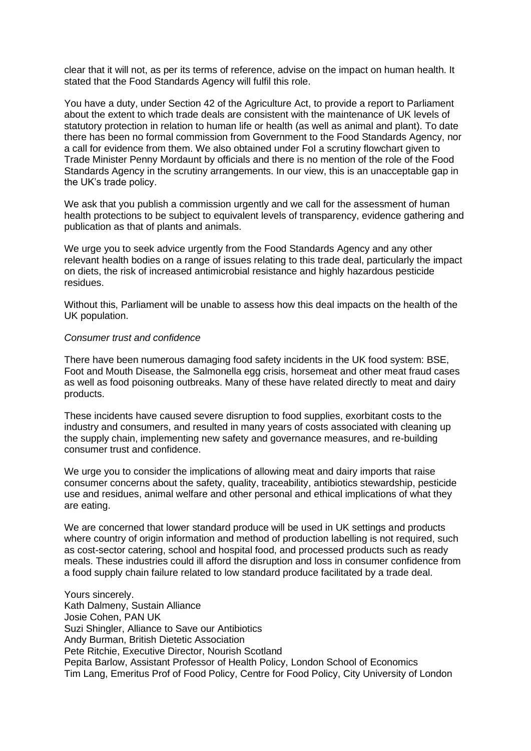clear that it will not, as per its terms of reference, advise on the impact on human health. It stated that the Food Standards Agency will fulfil this role.

You have a duty, under Section 42 of the Agriculture Act, to provide a report to Parliament about the extent to which trade deals are consistent with the maintenance of UK levels of statutory protection in relation to human life or health (as well as animal and plant). To date there has been no formal commission from Government to the Food Standards Agency, nor a call for evidence from them. We also obtained under FoI a scrutiny flowchart given to Trade Minister Penny Mordaunt by officials and there is no mention of the role of the Food Standards Agency in the scrutiny arrangements. In our view, this is an unacceptable gap in the UK's trade policy.

We ask that you publish a commission urgently and we call for the assessment of human health protections to be subject to equivalent levels of transparency, evidence gathering and publication as that of plants and animals.

We urge you to seek advice urgently from the Food Standards Agency and any other relevant health bodies on a range of issues relating to this trade deal, particularly the impact on diets, the risk of increased antimicrobial resistance and highly hazardous pesticide residues.

Without this, Parliament will be unable to assess how this deal impacts on the health of the UK population.

#### *Consumer trust and confidence*

There have been numerous damaging food safety incidents in the UK food system: BSE, Foot and Mouth Disease, the Salmonella egg crisis, horsemeat and other meat fraud cases as well as food poisoning outbreaks. Many of these have related directly to meat and dairy products.

These incidents have caused severe disruption to food supplies, exorbitant costs to the industry and consumers, and resulted in many years of costs associated with cleaning up the supply chain, implementing new safety and governance measures, and re-building consumer trust and confidence.

We urge you to consider the implications of allowing meat and dairy imports that raise consumer concerns about the safety, quality, traceability, antibiotics stewardship, pesticide use and residues, animal welfare and other personal and ethical implications of what they are eating.

We are concerned that lower standard produce will be used in UK settings and products where country of origin information and method of production labelling is not required, such as cost-sector catering, school and hospital food, and processed products such as ready meals. These industries could ill afford the disruption and loss in consumer confidence from a food supply chain failure related to low standard produce facilitated by a trade deal.

Yours sincerely. Kath Dalmeny, Sustain Alliance Josie Cohen, PAN UK Suzi Shingler, Alliance to Save our Antibiotics Andy Burman, British Dietetic Association Pete Ritchie, Executive Director, Nourish Scotland Pepita Barlow, Assistant Professor of Health Policy, London School of Economics Tim Lang, Emeritus Prof of Food Policy, Centre for Food Policy, City University of London